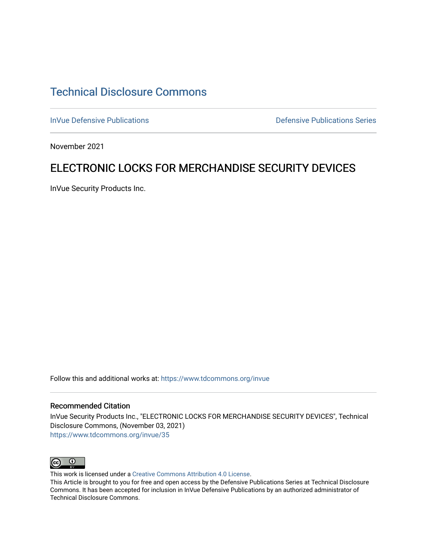# [Technical Disclosure Commons](https://www.tdcommons.org/)

[InVue Defensive Publications](https://www.tdcommons.org/invue) **Defensive Publications** Defensive Publications Series

November 2021

# ELECTRONIC LOCKS FOR MERCHANDISE SECURITY DEVICES

InVue Security Products Inc.

Follow this and additional works at: [https://www.tdcommons.org/invue](https://www.tdcommons.org/invue?utm_source=www.tdcommons.org%2Finvue%2F35&utm_medium=PDF&utm_campaign=PDFCoverPages) 

#### Recommended Citation

InVue Security Products Inc., "ELECTRONIC LOCKS FOR MERCHANDISE SECURITY DEVICES", Technical Disclosure Commons, (November 03, 2021) [https://www.tdcommons.org/invue/35](https://www.tdcommons.org/invue/35?utm_source=www.tdcommons.org%2Finvue%2F35&utm_medium=PDF&utm_campaign=PDFCoverPages) 



This work is licensed under a [Creative Commons Attribution 4.0 License](http://creativecommons.org/licenses/by/4.0/deed.en_US).

This Article is brought to you for free and open access by the Defensive Publications Series at Technical Disclosure Commons. It has been accepted for inclusion in InVue Defensive Publications by an authorized administrator of Technical Disclosure Commons.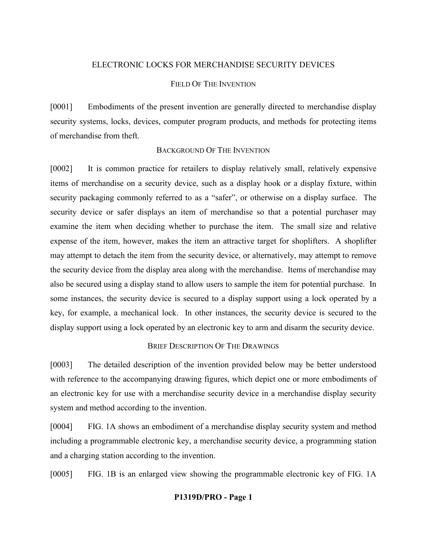#### ELECTRONIC LOCKS FOR MERCHANDISE SECURITY DEVICES

## FIELD OF THE INVENTION

[0001] Embodiments of the present invention are generally directed to merchandise display security systems, locks, devices, computer program products, and methods for protecting items of merchandise from theft.

## BACKGROUND OF THE INVENTION

[0002] It is common practice for retailers to display relatively small, relatively expensive items of merchandise on a security device, such as a display hook or a display fixture, within security packaging commonly referred to as a "safer", or otherwise on a display surface. The security device or safer displays an item of merchandise so that a potential purchaser may examine the item when deciding whether to purchase the item. The small size and relative expense of the item, however, makes the item an attractive target for shoplifters. A shoplifter may attempt to detach the item from the security device, or alternatively, may attempt to remove the security device from the display area along with the merchandise. Items of merchandise may also be secured using a display stand to allow users to sample the item for potential purchase. In some instances, the security device is secured to a display support using a lock operated by a key, for example, a mechanical lock. In other instances, the security device is secured to the display support using a lock operated by an electronic key to arm and disarm the security device.

## BRIEF DESCRIPTION OF THE DRAWINGS

[0003] The detailed description of the invention provided below may be better understood with reference to the accompanying drawing figures, which depict one or more embodiments of an electronic key for use with a merchandise security device in a merchandise display security system and method according to the invention.

[0004] FIG. 1A shows an embodiment of a merchandise display security system and method including a programmable electronic key, a merchandise security device, a programming station and a charging station according to the invention.

[0005] FIG. 1B is an enlarged view showing the programmable electronic key of FIG. 1A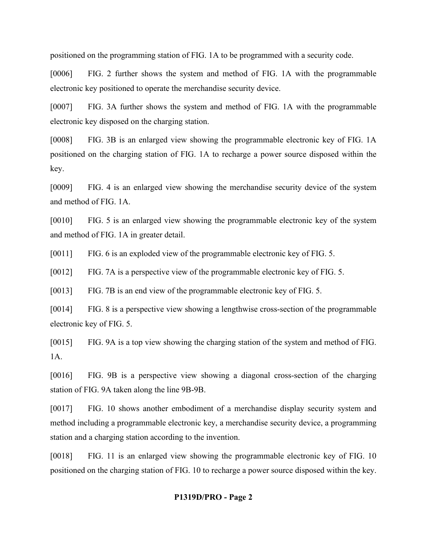positioned on the programming station of FIG. 1A to be programmed with a security code.

[0006] FIG. 2 further shows the system and method of FIG. 1A with the programmable electronic key positioned to operate the merchandise security device.

[0007] FIG. 3A further shows the system and method of FIG. 1A with the programmable electronic key disposed on the charging station.

[0008] FIG. 3B is an enlarged view showing the programmable electronic key of FIG. 1A positioned on the charging station of FIG. 1A to recharge a power source disposed within the key.

[0009] FIG. 4 is an enlarged view showing the merchandise security device of the system and method of FIG. 1A.

[0010] FIG. 5 is an enlarged view showing the programmable electronic key of the system and method of FIG. 1A in greater detail.

[0011] FIG. 6 is an exploded view of the programmable electronic key of FIG. 5.

[0012] FIG. 7A is a perspective view of the programmable electronic key of FIG. 5.

[0013] FIG. 7B is an end view of the programmable electronic key of FIG. 5.

[0014] FIG. 8 is a perspective view showing a lengthwise cross-section of the programmable electronic key of FIG. 5.

[0015] FIG. 9A is a top view showing the charging station of the system and method of FIG. 1A.

[0016] FIG. 9B is a perspective view showing a diagonal cross-section of the charging station of FIG. 9A taken along the line 9B-9B.

[0017] FIG. 10 shows another embodiment of a merchandise display security system and method including a programmable electronic key, a merchandise security device, a programming station and a charging station according to the invention.

[0018] FIG. 11 is an enlarged view showing the programmable electronic key of FIG. 10 positioned on the charging station of FIG. 10 to recharge a power source disposed within the key.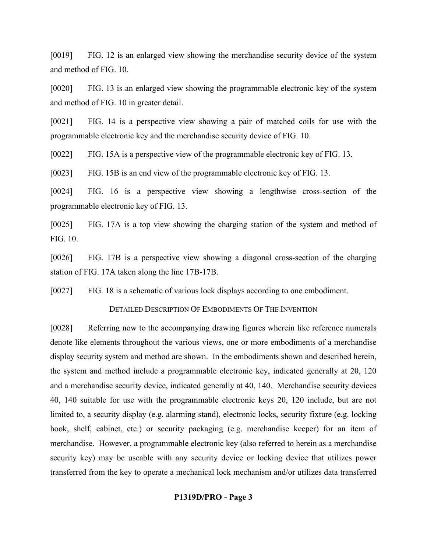[0019] FIG. 12 is an enlarged view showing the merchandise security device of the system and method of FIG. 10.

[0020] FIG. 13 is an enlarged view showing the programmable electronic key of the system and method of FIG. 10 in greater detail.

[0021] FIG. 14 is a perspective view showing a pair of matched coils for use with the programmable electronic key and the merchandise security device of FIG. 10.

[0022] FIG. 15A is a perspective view of the programmable electronic key of FIG. 13.

[0023] FIG. 15B is an end view of the programmable electronic key of FIG. 13.

[0024] FIG. 16 is a perspective view showing a lengthwise cross-section of the programmable electronic key of FIG. 13.

[0025] FIG. 17A is a top view showing the charging station of the system and method of FIG. 10.

[0026] FIG. 17B is a perspective view showing a diagonal cross-section of the charging station of FIG. 17A taken along the line 17B-17B.

[0027] FIG. 18 is a schematic of various lock displays according to one embodiment.

DETAILED DESCRIPTION OF EMBODIMENTS OF THE INVENTION

[0028] Referring now to the accompanying drawing figures wherein like reference numerals denote like elements throughout the various views, one or more embodiments of a merchandise display security system and method are shown. In the embodiments shown and described herein, the system and method include a programmable electronic key, indicated generally at 20, 120 and a merchandise security device, indicated generally at 40, 140. Merchandise security devices 40, 140 suitable for use with the programmable electronic keys 20, 120 include, but are not limited to, a security display (e.g. alarming stand), electronic locks, security fixture (e.g. locking hook, shelf, cabinet, etc.) or security packaging (e.g. merchandise keeper) for an item of merchandise. However, a programmable electronic key (also referred to herein as a merchandise security key) may be useable with any security device or locking device that utilizes power transferred from the key to operate a mechanical lock mechanism and/or utilizes data transferred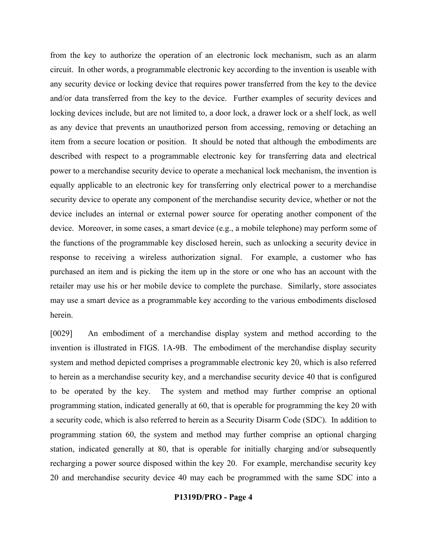from the key to authorize the operation of an electronic lock mechanism, such as an alarm circuit. In other words, a programmable electronic key according to the invention is useable with any security device or locking device that requires power transferred from the key to the device and/or data transferred from the key to the device. Further examples of security devices and locking devices include, but are not limited to, a door lock, a drawer lock or a shelf lock, as well as any device that prevents an unauthorized person from accessing, removing or detaching an item from a secure location or position. It should be noted that although the embodiments are described with respect to a programmable electronic key for transferring data and electrical power to a merchandise security device to operate a mechanical lock mechanism, the invention is equally applicable to an electronic key for transferring only electrical power to a merchandise security device to operate any component of the merchandise security device, whether or not the device includes an internal or external power source for operating another component of the device. Moreover, in some cases, a smart device (e.g., a mobile telephone) may perform some of the functions of the programmable key disclosed herein, such as unlocking a security device in response to receiving a wireless authorization signal. For example, a customer who has purchased an item and is picking the item up in the store or one who has an account with the retailer may use his or her mobile device to complete the purchase. Similarly, store associates may use a smart device as a programmable key according to the various embodiments disclosed herein.

[0029] An embodiment of a merchandise display system and method according to the invention is illustrated in FIGS. 1A-9B. The embodiment of the merchandise display security system and method depicted comprises a programmable electronic key 20, which is also referred to herein as a merchandise security key, and a merchandise security device 40 that is configured to be operated by the key. The system and method may further comprise an optional programming station, indicated generally at 60, that is operable for programming the key 20 with a security code, which is also referred to herein as a Security Disarm Code (SDC). In addition to programming station 60, the system and method may further comprise an optional charging station, indicated generally at 80, that is operable for initially charging and/or subsequently recharging a power source disposed within the key 20. For example, merchandise security key 20 and merchandise security device 40 may each be programmed with the same SDC into a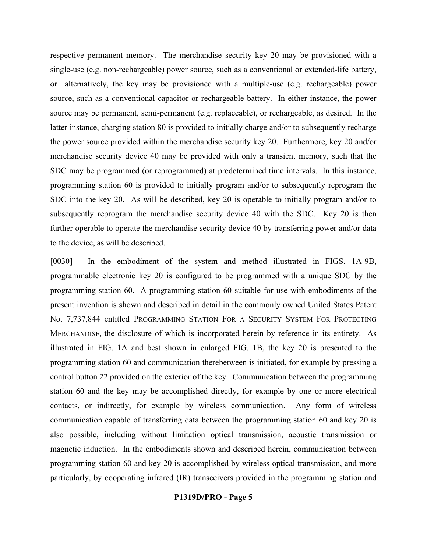respective permanent memory. The merchandise security key 20 may be provisioned with a single-use (e.g. non-rechargeable) power source, such as a conventional or extended-life battery, or alternatively, the key may be provisioned with a multiple-use (e.g. rechargeable) power source, such as a conventional capacitor or rechargeable battery. In either instance, the power source may be permanent, semi-permanent (e.g. replaceable), or rechargeable, as desired. In the latter instance, charging station 80 is provided to initially charge and/or to subsequently recharge the power source provided within the merchandise security key 20. Furthermore, key 20 and/or merchandise security device 40 may be provided with only a transient memory, such that the SDC may be programmed (or reprogrammed) at predetermined time intervals. In this instance, programming station 60 is provided to initially program and/or to subsequently reprogram the SDC into the key 20. As will be described, key 20 is operable to initially program and/or to subsequently reprogram the merchandise security device 40 with the SDC. Key 20 is then further operable to operate the merchandise security device 40 by transferring power and/or data to the device, as will be described.

[0030] In the embodiment of the system and method illustrated in FIGS. 1A-9B, programmable electronic key 20 is configured to be programmed with a unique SDC by the programming station 60. A programming station 60 suitable for use with embodiments of the present invention is shown and described in detail in the commonly owned United States Patent No. 7,737,844 entitled PROGRAMMING STATION FOR A SECURITY SYSTEM FOR PROTECTING MERCHANDISE, the disclosure of which is incorporated herein by reference in its entirety. As illustrated in FIG. 1A and best shown in enlarged FIG. 1B, the key 20 is presented to the programming station 60 and communication therebetween is initiated, for example by pressing a control button 22 provided on the exterior of the key. Communication between the programming station 60 and the key may be accomplished directly, for example by one or more electrical contacts, or indirectly, for example by wireless communication. Any form of wireless communication capable of transferring data between the programming station 60 and key 20 is also possible, including without limitation optical transmission, acoustic transmission or magnetic induction. In the embodiments shown and described herein, communication between programming station 60 and key 20 is accomplished by wireless optical transmission, and more particularly, by cooperating infrared (IR) transceivers provided in the programming station and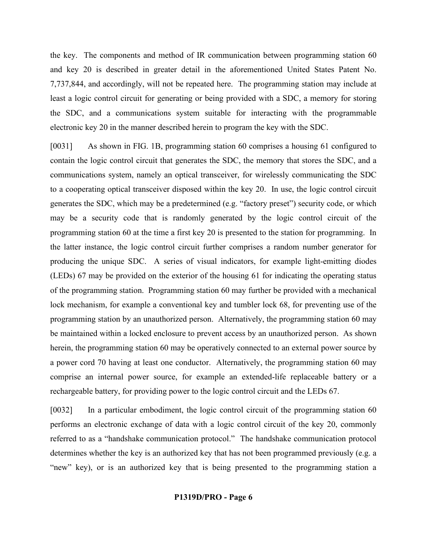the key. The components and method of IR communication between programming station 60 and key 20 is described in greater detail in the aforementioned United States Patent No. 7,737,844, and accordingly, will not be repeated here. The programming station may include at least a logic control circuit for generating or being provided with a SDC, a memory for storing the SDC, and a communications system suitable for interacting with the programmable electronic key 20 in the manner described herein to program the key with the SDC.

[0031] As shown in FIG. 1B, programming station 60 comprises a housing 61 configured to contain the logic control circuit that generates the SDC, the memory that stores the SDC, and a communications system, namely an optical transceiver, for wirelessly communicating the SDC to a cooperating optical transceiver disposed within the key 20. In use, the logic control circuit generates the SDC, which may be a predetermined (e.g. "factory preset") security code, or which may be a security code that is randomly generated by the logic control circuit of the programming station 60 at the time a first key 20 is presented to the station for programming. In the latter instance, the logic control circuit further comprises a random number generator for producing the unique SDC. A series of visual indicators, for example light-emitting diodes (LEDs) 67 may be provided on the exterior of the housing 61 for indicating the operating status of the programming station. Programming station 60 may further be provided with a mechanical lock mechanism, for example a conventional key and tumbler lock 68, for preventing use of the programming station by an unauthorized person. Alternatively, the programming station 60 may be maintained within a locked enclosure to prevent access by an unauthorized person. As shown herein, the programming station 60 may be operatively connected to an external power source by a power cord 70 having at least one conductor. Alternatively, the programming station 60 may comprise an internal power source, for example an extended-life replaceable battery or a rechargeable battery, for providing power to the logic control circuit and the LEDs 67.

[0032] In a particular embodiment, the logic control circuit of the programming station 60 performs an electronic exchange of data with a logic control circuit of the key 20, commonly referred to as a "handshake communication protocol." The handshake communication protocol determines whether the key is an authorized key that has not been programmed previously (e.g. a "new" key), or is an authorized key that is being presented to the programming station a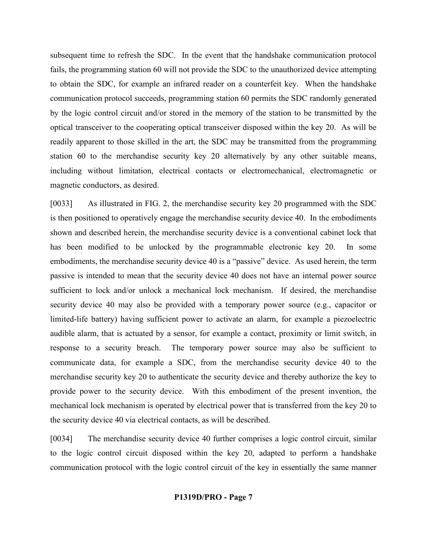subsequent time to refresh the SDC. In the event that the handshake communication protocol fails, the programming station 60 will not provide the SDC to the unauthorized device attempting to obtain the SDC, for example an infrared reader on a counterfeit key. When the handshake communication protocol succeeds, programming station 60 permits the SDC randomly generated by the logic control circuit and/or stored in the memory of the station to be transmitted by the optical transceiver to the cooperating optical transceiver disposed within the key 20. As will be readily apparent to those skilled in the art, the SDC may be transmitted from the programming station 60 to the merchandise security key 20 alternatively by any other suitable means, including without limitation, electrical contacts or electromechanical, electromagnetic or magnetic conductors, as desired.

[0033] As illustrated in FIG. 2, the merchandise security key 20 programmed with the SDC is then positioned to operatively engage the merchandise security device 40. In the embodiments shown and described herein, the merchandise security device is a conventional cabinet lock that has been modified to be unlocked by the programmable electronic key 20. In some embodiments, the merchandise security device 40 is a "passive" device. As used herein, the term passive is intended to mean that the security device 40 does not have an internal power source sufficient to lock and/or unlock a mechanical lock mechanism. If desired, the merchandise security device 40 may also be provided with a temporary power source (e.g., capacitor or limited-life battery) having sufficient power to activate an alarm, for example a piezoelectric audible alarm, that is actuated by a sensor, for example a contact, proximity or limit switch, in response to a security breach. The temporary power source may also be sufficient to communicate data, for example a SDC, from the merchandise security device 40 to the merchandise security key 20 to authenticate the security device and thereby authorize the key to provide power to the security device. With this embodiment of the present invention, the mechanical lock mechanism is operated by electrical power that is transferred from the key 20 to the security device 40 via electrical contacts, as will be described.

[0034] The merchandise security device 40 further comprises a logic control circuit, similar to the logic control circuit disposed within the key 20, adapted to perform a handshake communication protocol with the logic control circuit of the key in essentially the same manner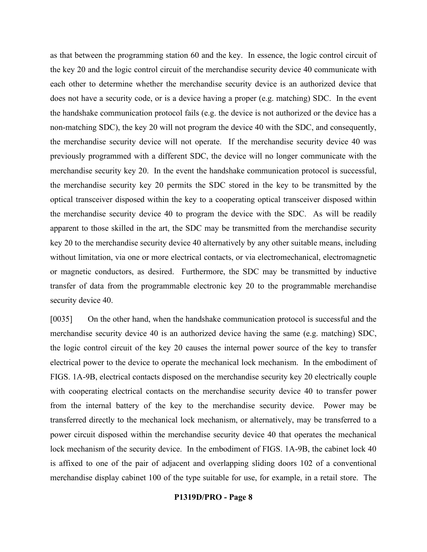as that between the programming station 60 and the key. In essence, the logic control circuit of the key 20 and the logic control circuit of the merchandise security device 40 communicate with each other to determine whether the merchandise security device is an authorized device that does not have a security code, or is a device having a proper (e.g. matching) SDC. In the event the handshake communication protocol fails (e.g. the device is not authorized or the device has a non-matching SDC), the key 20 will not program the device 40 with the SDC, and consequently, the merchandise security device will not operate. If the merchandise security device 40 was previously programmed with a different SDC, the device will no longer communicate with the merchandise security key 20. In the event the handshake communication protocol is successful, the merchandise security key 20 permits the SDC stored in the key to be transmitted by the optical transceiver disposed within the key to a cooperating optical transceiver disposed within the merchandise security device 40 to program the device with the SDC. As will be readily apparent to those skilled in the art, the SDC may be transmitted from the merchandise security key 20 to the merchandise security device 40 alternatively by any other suitable means, including without limitation, via one or more electrical contacts, or via electromechanical, electromagnetic or magnetic conductors, as desired. Furthermore, the SDC may be transmitted by inductive transfer of data from the programmable electronic key 20 to the programmable merchandise security device 40.

[0035] On the other hand, when the handshake communication protocol is successful and the merchandise security device 40 is an authorized device having the same (e.g. matching) SDC, the logic control circuit of the key 20 causes the internal power source of the key to transfer electrical power to the device to operate the mechanical lock mechanism. In the embodiment of FIGS. 1A-9B, electrical contacts disposed on the merchandise security key 20 electrically couple with cooperating electrical contacts on the merchandise security device 40 to transfer power from the internal battery of the key to the merchandise security device. Power may be transferred directly to the mechanical lock mechanism, or alternatively, may be transferred to a power circuit disposed within the merchandise security device 40 that operates the mechanical lock mechanism of the security device. In the embodiment of FIGS. 1A-9B, the cabinet lock 40 is affixed to one of the pair of adjacent and overlapping sliding doors 102 of a conventional merchandise display cabinet 100 of the type suitable for use, for example, in a retail store. The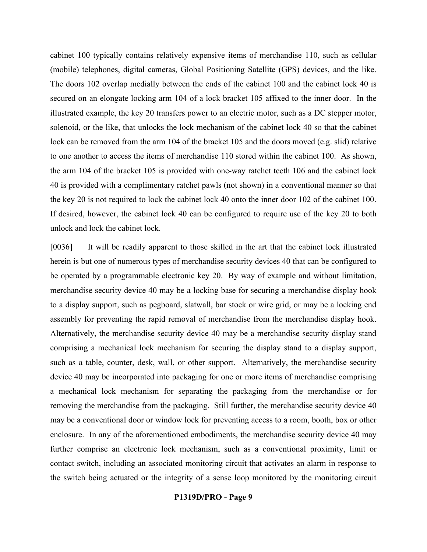cabinet 100 typically contains relatively expensive items of merchandise 110, such as cellular (mobile) telephones, digital cameras, Global Positioning Satellite (GPS) devices, and the like. The doors 102 overlap medially between the ends of the cabinet 100 and the cabinet lock 40 is secured on an elongate locking arm 104 of a lock bracket 105 affixed to the inner door. In the illustrated example, the key 20 transfers power to an electric motor, such as a DC stepper motor, solenoid, or the like, that unlocks the lock mechanism of the cabinet lock 40 so that the cabinet lock can be removed from the arm 104 of the bracket 105 and the doors moved (e.g. slid) relative to one another to access the items of merchandise 110 stored within the cabinet 100. As shown, the arm 104 of the bracket 105 is provided with one-way ratchet teeth 106 and the cabinet lock 40 is provided with a complimentary ratchet pawls (not shown) in a conventional manner so that the key 20 is not required to lock the cabinet lock 40 onto the inner door 102 of the cabinet 100. If desired, however, the cabinet lock 40 can be configured to require use of the key 20 to both unlock and lock the cabinet lock.

[0036] It will be readily apparent to those skilled in the art that the cabinet lock illustrated herein is but one of numerous types of merchandise security devices 40 that can be configured to be operated by a programmable electronic key 20. By way of example and without limitation, merchandise security device 40 may be a locking base for securing a merchandise display hook to a display support, such as pegboard, slatwall, bar stock or wire grid, or may be a locking end assembly for preventing the rapid removal of merchandise from the merchandise display hook. Alternatively, the merchandise security device 40 may be a merchandise security display stand comprising a mechanical lock mechanism for securing the display stand to a display support, such as a table, counter, desk, wall, or other support. Alternatively, the merchandise security device 40 may be incorporated into packaging for one or more items of merchandise comprising a mechanical lock mechanism for separating the packaging from the merchandise or for removing the merchandise from the packaging. Still further, the merchandise security device 40 may be a conventional door or window lock for preventing access to a room, booth, box or other enclosure. In any of the aforementioned embodiments, the merchandise security device 40 may further comprise an electronic lock mechanism, such as a conventional proximity, limit or contact switch, including an associated monitoring circuit that activates an alarm in response to the switch being actuated or the integrity of a sense loop monitored by the monitoring circuit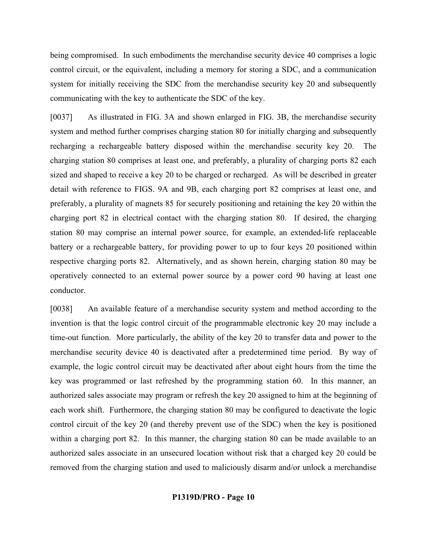being compromised. In such embodiments the merchandise security device 40 comprises a logic control circuit, or the equivalent, including a memory for storing a SDC, and a communication system for initially receiving the SDC from the merchandise security key 20 and subsequently communicating with the key to authenticate the SDC of the key.

[0037] As illustrated in FIG. 3A and shown enlarged in FIG. 3B, the merchandise security system and method further comprises charging station 80 for initially charging and subsequently recharging a rechargeable battery disposed within the merchandise security key 20. The charging station 80 comprises at least one, and preferably, a plurality of charging ports 82 each sized and shaped to receive a key 20 to be charged or recharged. As will be described in greater detail with reference to FIGS. 9A and 9B, each charging port 82 comprises at least one, and preferably, a plurality of magnets 85 for securely positioning and retaining the key 20 within the charging port 82 in electrical contact with the charging station 80. If desired, the charging station 80 may comprise an internal power source, for example, an extended-life replaceable battery or a rechargeable battery, for providing power to up to four keys 20 positioned within respective charging ports 82. Alternatively, and as shown herein, charging station 80 may be operatively connected to an external power source by a power cord 90 having at least one conductor.

[0038] An available feature of a merchandise security system and method according to the invention is that the logic control circuit of the programmable electronic key 20 may include a time-out function. More particularly, the ability of the key 20 to transfer data and power to the merchandise security device 40 is deactivated after a predetermined time period. By way of example, the logic control circuit may be deactivated after about eight hours from the time the key was programmed or last refreshed by the programming station 60. In this manner, an authorized sales associate may program or refresh the key 20 assigned to him at the beginning of each work shift. Furthermore, the charging station 80 may be configured to deactivate the logic control circuit of the key 20 (and thereby prevent use of the SDC) when the key is positioned within a charging port 82. In this manner, the charging station 80 can be made available to an authorized sales associate in an unsecured location without risk that a charged key 20 could be removed from the charging station and used to maliciously disarm and/or unlock a merchandise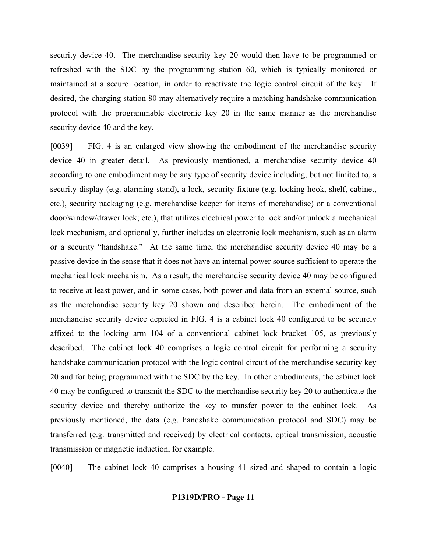security device 40. The merchandise security key 20 would then have to be programmed or refreshed with the SDC by the programming station 60, which is typically monitored or maintained at a secure location, in order to reactivate the logic control circuit of the key. If desired, the charging station 80 may alternatively require a matching handshake communication protocol with the programmable electronic key 20 in the same manner as the merchandise security device 40 and the key.

[0039] FIG. 4 is an enlarged view showing the embodiment of the merchandise security device 40 in greater detail. As previously mentioned, a merchandise security device 40 according to one embodiment may be any type of security device including, but not limited to, a security display (e.g. alarming stand), a lock, security fixture (e.g. locking hook, shelf, cabinet, etc.), security packaging (e.g. merchandise keeper for items of merchandise) or a conventional door/window/drawer lock; etc.), that utilizes electrical power to lock and/or unlock a mechanical lock mechanism, and optionally, further includes an electronic lock mechanism, such as an alarm or a security "handshake." At the same time, the merchandise security device 40 may be a passive device in the sense that it does not have an internal power source sufficient to operate the mechanical lock mechanism. As a result, the merchandise security device 40 may be configured to receive at least power, and in some cases, both power and data from an external source, such as the merchandise security key 20 shown and described herein. The embodiment of the merchandise security device depicted in FIG. 4 is a cabinet lock 40 configured to be securely affixed to the locking arm 104 of a conventional cabinet lock bracket 105, as previously described. The cabinet lock 40 comprises a logic control circuit for performing a security handshake communication protocol with the logic control circuit of the merchandise security key 20 and for being programmed with the SDC by the key. In other embodiments, the cabinet lock 40 may be configured to transmit the SDC to the merchandise security key 20 to authenticate the security device and thereby authorize the key to transfer power to the cabinet lock. As previously mentioned, the data (e.g. handshake communication protocol and SDC) may be transferred (e.g. transmitted and received) by electrical contacts, optical transmission, acoustic transmission or magnetic induction, for example.

[0040] The cabinet lock 40 comprises a housing 41 sized and shaped to contain a logic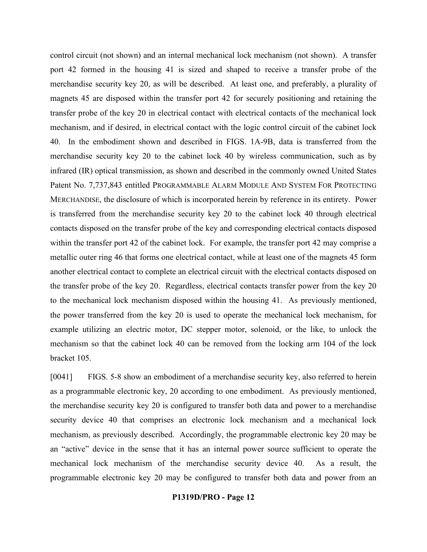control circuit (not shown) and an internal mechanical lock mechanism (not shown). A transfer port 42 formed in the housing 41 is sized and shaped to receive a transfer probe of the merchandise security key 20, as will be described. At least one, and preferably, a plurality of magnets 45 are disposed within the transfer port 42 for securely positioning and retaining the transfer probe of the key 20 in electrical contact with electrical contacts of the mechanical lock mechanism, and if desired, in electrical contact with the logic control circuit of the cabinet lock 40. In the embodiment shown and described in FIGS. 1A-9B, data is transferred from the merchandise security key 20 to the cabinet lock 40 by wireless communication, such as by infrared (IR) optical transmission, as shown and described in the commonly owned United States Patent No. 7,737,843 entitled PROGRAMMABLE ALARM MODULE AND SYSTEM FOR PROTECTING MERCHANDISE, the disclosure of which is incorporated herein by reference in its entirety. Power is transferred from the merchandise security key 20 to the cabinet lock 40 through electrical contacts disposed on the transfer probe of the key and corresponding electrical contacts disposed within the transfer port 42 of the cabinet lock. For example, the transfer port 42 may comprise a metallic outer ring 46 that forms one electrical contact, while at least one of the magnets 45 form another electrical contact to complete an electrical circuit with the electrical contacts disposed on the transfer probe of the key 20. Regardless, electrical contacts transfer power from the key 20 to the mechanical lock mechanism disposed within the housing 41. As previously mentioned, the power transferred from the key 20 is used to operate the mechanical lock mechanism, for example utilizing an electric motor, DC stepper motor, solenoid, or the like, to unlock the mechanism so that the cabinet lock 40 can be removed from the locking arm 104 of the lock bracket 105.

[0041] FIGS. 5-8 show an embodiment of a merchandise security key, also referred to herein as a programmable electronic key, 20 according to one embodiment. As previously mentioned, the merchandise security key 20 is configured to transfer both data and power to a merchandise security device 40 that comprises an electronic lock mechanism and a mechanical lock mechanism, as previously described. Accordingly, the programmable electronic key 20 may be an "active" device in the sense that it has an internal power source sufficient to operate the mechanical lock mechanism of the merchandise security device 40. As a result, the programmable electronic key 20 may be configured to transfer both data and power from an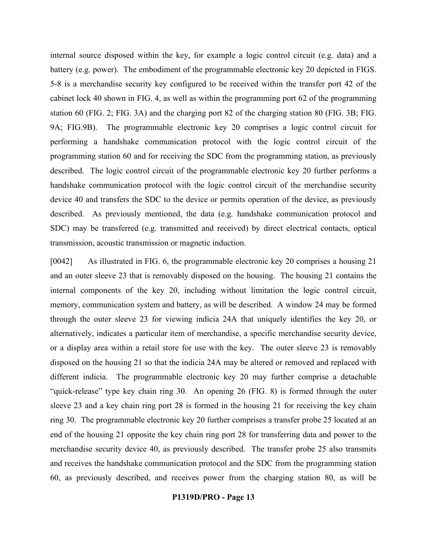internal source disposed within the key, for example a logic control circuit (e.g. data) and a battery (e.g. power). The embodiment of the programmable electronic key 20 depicted in FIGS. 5-8 is a merchandise security key configured to be received within the transfer port 42 of the cabinet lock 40 shown in FIG. 4, as well as within the programming port 62 of the programming station 60 (FIG. 2; FIG. 3A) and the charging port 82 of the charging station 80 (FIG. 3B; FIG. 9A; FIG.9B). The programmable electronic key 20 comprises a logic control circuit for performing a handshake communication protocol with the logic control circuit of the programming station 60 and for receiving the SDC from the programming station, as previously described. The logic control circuit of the programmable electronic key 20 further performs a handshake communication protocol with the logic control circuit of the merchandise security device 40 and transfers the SDC to the device or permits operation of the device, as previously described. As previously mentioned, the data (e.g. handshake communication protocol and SDC) may be transferred (e.g. transmitted and received) by direct electrical contacts, optical transmission, acoustic transmission or magnetic induction.

[0042] As illustrated in FIG. 6, the programmable electronic key 20 comprises a housing 21 and an outer sleeve 23 that is removably disposed on the housing. The housing 21 contains the internal components of the key 20, including without limitation the logic control circuit, memory, communication system and battery, as will be described. A window 24 may be formed through the outer sleeve 23 for viewing indicia 24A that uniquely identifies the key 20, or alternatively, indicates a particular item of merchandise, a specific merchandise security device, or a display area within a retail store for use with the key. The outer sleeve 23 is removably disposed on the housing 21 so that the indicia 24A may be altered or removed and replaced with different indicia. The programmable electronic key 20 may further comprise a detachable "quick-release" type key chain ring 30. An opening 26 (FIG. 8) is formed through the outer sleeve 23 and a key chain ring port 28 is formed in the housing 21 for receiving the key chain ring 30. The programmable electronic key 20 further comprises a transfer probe 25 located at an end of the housing 21 opposite the key chain ring port 28 for transferring data and power to the merchandise security device 40, as previously described. The transfer probe 25 also transmits and receives the handshake communication protocol and the SDC from the programming station 60, as previously described, and receives power from the charging station 80, as will be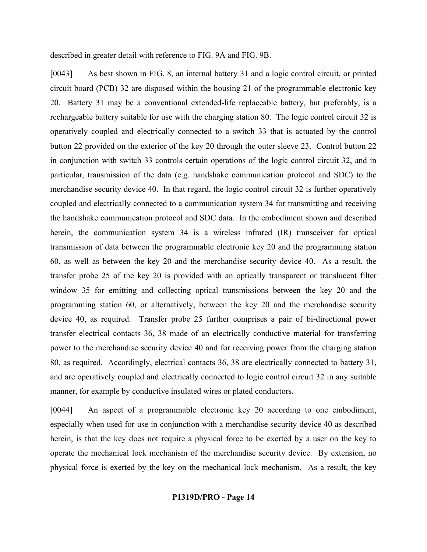described in greater detail with reference to FIG. 9A and FIG. 9B.

[0043] As best shown in FIG. 8, an internal battery 31 and a logic control circuit, or printed circuit board (PCB) 32 are disposed within the housing 21 of the programmable electronic key 20. Battery 31 may be a conventional extended-life replaceable battery, but preferably, is a rechargeable battery suitable for use with the charging station 80. The logic control circuit 32 is operatively coupled and electrically connected to a switch 33 that is actuated by the control button 22 provided on the exterior of the key 20 through the outer sleeve 23. Control button 22 in conjunction with switch 33 controls certain operations of the logic control circuit 32, and in particular, transmission of the data (e.g. handshake communication protocol and SDC) to the merchandise security device 40. In that regard, the logic control circuit 32 is further operatively coupled and electrically connected to a communication system 34 for transmitting and receiving the handshake communication protocol and SDC data. In the embodiment shown and described herein, the communication system 34 is a wireless infrared (IR) transceiver for optical transmission of data between the programmable electronic key 20 and the programming station 60, as well as between the key 20 and the merchandise security device 40. As a result, the transfer probe 25 of the key 20 is provided with an optically transparent or translucent filter window 35 for emitting and collecting optical transmissions between the key 20 and the programming station 60, or alternatively, between the key 20 and the merchandise security device 40, as required. Transfer probe 25 further comprises a pair of bi-directional power transfer electrical contacts 36, 38 made of an electrically conductive material for transferring power to the merchandise security device 40 and for receiving power from the charging station 80, as required. Accordingly, electrical contacts 36, 38 are electrically connected to battery 31, and are operatively coupled and electrically connected to logic control circuit 32 in any suitable manner, for example by conductive insulated wires or plated conductors.

[0044] An aspect of a programmable electronic key 20 according to one embodiment, especially when used for use in conjunction with a merchandise security device 40 as described herein, is that the key does not require a physical force to be exerted by a user on the key to operate the mechanical lock mechanism of the merchandise security device. By extension, no physical force is exerted by the key on the mechanical lock mechanism. As a result, the key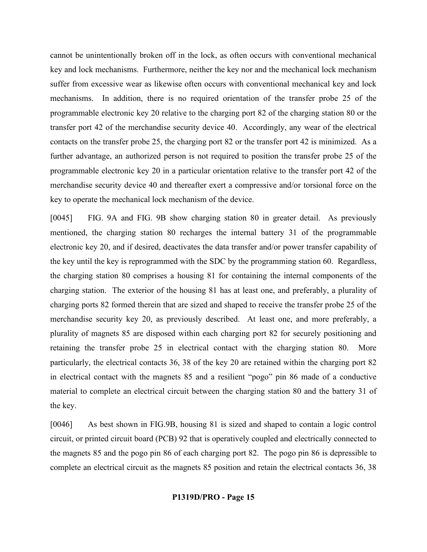cannot be unintentionally broken off in the lock, as often occurs with conventional mechanical key and lock mechanisms. Furthermore, neither the key nor and the mechanical lock mechanism suffer from excessive wear as likewise often occurs with conventional mechanical key and lock mechanisms. In addition, there is no required orientation of the transfer probe 25 of the programmable electronic key 20 relative to the charging port 82 of the charging station 80 or the transfer port 42 of the merchandise security device 40. Accordingly, any wear of the electrical contacts on the transfer probe 25, the charging port 82 or the transfer port 42 is minimized. As a further advantage, an authorized person is not required to position the transfer probe 25 of the programmable electronic key 20 in a particular orientation relative to the transfer port 42 of the merchandise security device 40 and thereafter exert a compressive and/or torsional force on the key to operate the mechanical lock mechanism of the device.

[0045] FIG. 9A and FIG. 9B show charging station 80 in greater detail. As previously mentioned, the charging station 80 recharges the internal battery 31 of the programmable electronic key 20, and if desired, deactivates the data transfer and/or power transfer capability of the key until the key is reprogrammed with the SDC by the programming station 60. Regardless, the charging station 80 comprises a housing 81 for containing the internal components of the charging station. The exterior of the housing 81 has at least one, and preferably, a plurality of charging ports 82 formed therein that are sized and shaped to receive the transfer probe 25 of the merchandise security key 20, as previously described. At least one, and more preferably, a plurality of magnets 85 are disposed within each charging port 82 for securely positioning and retaining the transfer probe 25 in electrical contact with the charging station 80. More particularly, the electrical contacts 36, 38 of the key 20 are retained within the charging port 82 in electrical contact with the magnets 85 and a resilient "pogo" pin 86 made of a conductive material to complete an electrical circuit between the charging station 80 and the battery 31 of the key.

[0046] As best shown in FIG.9B, housing 81 is sized and shaped to contain a logic control circuit, or printed circuit board (PCB) 92 that is operatively coupled and electrically connected to the magnets 85 and the pogo pin 86 of each charging port 82. The pogo pin 86 is depressible to complete an electrical circuit as the magnets 85 position and retain the electrical contacts 36, 38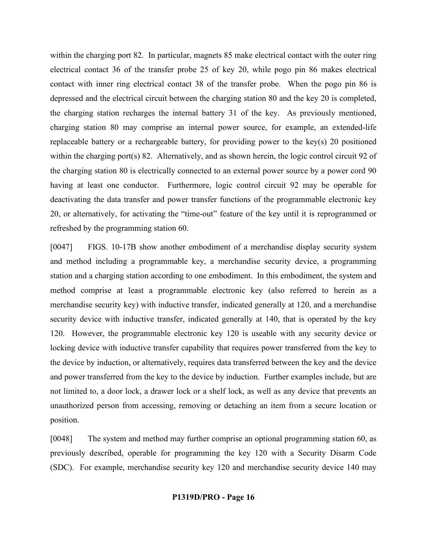within the charging port 82. In particular, magnets 85 make electrical contact with the outer ring electrical contact 36 of the transfer probe 25 of key 20, while pogo pin 86 makes electrical contact with inner ring electrical contact 38 of the transfer probe. When the pogo pin 86 is depressed and the electrical circuit between the charging station 80 and the key 20 is completed, the charging station recharges the internal battery 31 of the key. As previously mentioned, charging station 80 may comprise an internal power source, for example, an extended-life replaceable battery or a rechargeable battery, for providing power to the key(s) 20 positioned within the charging port(s) 82. Alternatively, and as shown herein, the logic control circuit 92 of the charging station 80 is electrically connected to an external power source by a power cord 90 having at least one conductor. Furthermore, logic control circuit 92 may be operable for deactivating the data transfer and power transfer functions of the programmable electronic key 20, or alternatively, for activating the "time-out" feature of the key until it is reprogrammed or refreshed by the programming station 60.

[0047] FIGS. 10-17B show another embodiment of a merchandise display security system and method including a programmable key, a merchandise security device, a programming station and a charging station according to one embodiment. In this embodiment, the system and method comprise at least a programmable electronic key (also referred to herein as a merchandise security key) with inductive transfer, indicated generally at 120, and a merchandise security device with inductive transfer, indicated generally at 140, that is operated by the key 120. However, the programmable electronic key 120 is useable with any security device or locking device with inductive transfer capability that requires power transferred from the key to the device by induction, or alternatively, requires data transferred between the key and the device and power transferred from the key to the device by induction. Further examples include, but are not limited to, a door lock, a drawer lock or a shelf lock, as well as any device that prevents an unauthorized person from accessing, removing or detaching an item from a secure location or position.

[0048] The system and method may further comprise an optional programming station 60, as previously described, operable for programming the key 120 with a Security Disarm Code (SDC). For example, merchandise security key 120 and merchandise security device 140 may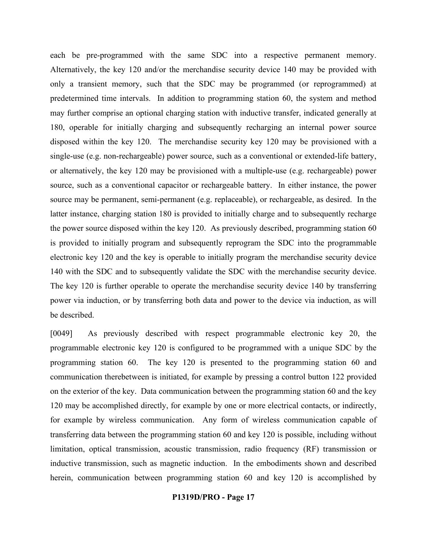each be pre-programmed with the same SDC into a respective permanent memory. Alternatively, the key 120 and/or the merchandise security device 140 may be provided with only a transient memory, such that the SDC may be programmed (or reprogrammed) at predetermined time intervals. In addition to programming station 60, the system and method may further comprise an optional charging station with inductive transfer, indicated generally at 180, operable for initially charging and subsequently recharging an internal power source disposed within the key 120. The merchandise security key 120 may be provisioned with a single-use (e.g. non-rechargeable) power source, such as a conventional or extended-life battery, or alternatively, the key 120 may be provisioned with a multiple-use (e.g. rechargeable) power source, such as a conventional capacitor or rechargeable battery. In either instance, the power source may be permanent, semi-permanent (e.g. replaceable), or rechargeable, as desired. In the latter instance, charging station 180 is provided to initially charge and to subsequently recharge the power source disposed within the key 120. As previously described, programming station 60 is provided to initially program and subsequently reprogram the SDC into the programmable electronic key 120 and the key is operable to initially program the merchandise security device 140 with the SDC and to subsequently validate the SDC with the merchandise security device. The key 120 is further operable to operate the merchandise security device 140 by transferring power via induction, or by transferring both data and power to the device via induction, as will be described.

[0049] As previously described with respect programmable electronic key 20, the programmable electronic key 120 is configured to be programmed with a unique SDC by the programming station 60. The key 120 is presented to the programming station 60 and communication therebetween is initiated, for example by pressing a control button 122 provided on the exterior of the key. Data communication between the programming station 60 and the key 120 may be accomplished directly, for example by one or more electrical contacts, or indirectly, for example by wireless communication. Any form of wireless communication capable of transferring data between the programming station 60 and key 120 is possible, including without limitation, optical transmission, acoustic transmission, radio frequency (RF) transmission or inductive transmission, such as magnetic induction. In the embodiments shown and described herein, communication between programming station 60 and key 120 is accomplished by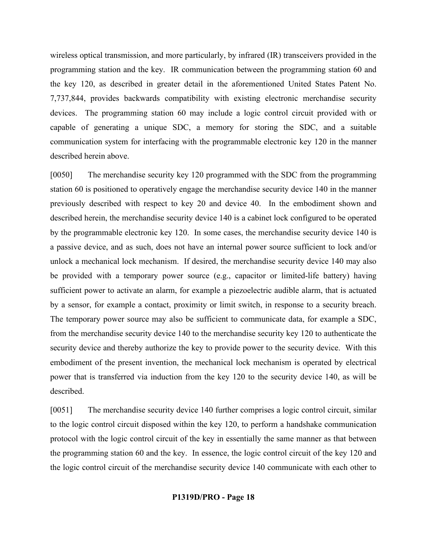wireless optical transmission, and more particularly, by infrared (IR) transceivers provided in the programming station and the key. IR communication between the programming station 60 and the key 120, as described in greater detail in the aforementioned United States Patent No. 7,737,844, provides backwards compatibility with existing electronic merchandise security devices. The programming station 60 may include a logic control circuit provided with or capable of generating a unique SDC, a memory for storing the SDC, and a suitable communication system for interfacing with the programmable electronic key 120 in the manner described herein above.

[0050] The merchandise security key 120 programmed with the SDC from the programming station 60 is positioned to operatively engage the merchandise security device 140 in the manner previously described with respect to key 20 and device 40. In the embodiment shown and described herein, the merchandise security device 140 is a cabinet lock configured to be operated by the programmable electronic key 120. In some cases, the merchandise security device 140 is a passive device, and as such, does not have an internal power source sufficient to lock and/or unlock a mechanical lock mechanism. If desired, the merchandise security device 140 may also be provided with a temporary power source (e.g., capacitor or limited-life battery) having sufficient power to activate an alarm, for example a piezoelectric audible alarm, that is actuated by a sensor, for example a contact, proximity or limit switch, in response to a security breach. The temporary power source may also be sufficient to communicate data, for example a SDC, from the merchandise security device 140 to the merchandise security key 120 to authenticate the security device and thereby authorize the key to provide power to the security device. With this embodiment of the present invention, the mechanical lock mechanism is operated by electrical power that is transferred via induction from the key 120 to the security device 140, as will be described.

[0051] The merchandise security device 140 further comprises a logic control circuit, similar to the logic control circuit disposed within the key 120, to perform a handshake communication protocol with the logic control circuit of the key in essentially the same manner as that between the programming station 60 and the key. In essence, the logic control circuit of the key 120 and the logic control circuit of the merchandise security device 140 communicate with each other to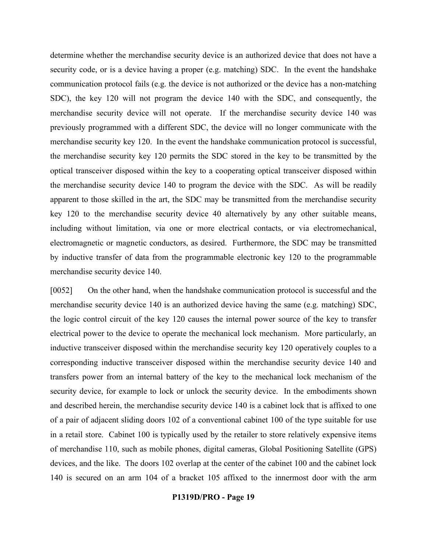determine whether the merchandise security device is an authorized device that does not have a security code, or is a device having a proper (e.g. matching) SDC. In the event the handshake communication protocol fails (e.g. the device is not authorized or the device has a non-matching SDC), the key 120 will not program the device 140 with the SDC, and consequently, the merchandise security device will not operate. If the merchandise security device 140 was previously programmed with a different SDC, the device will no longer communicate with the merchandise security key 120. In the event the handshake communication protocol is successful, the merchandise security key 120 permits the SDC stored in the key to be transmitted by the optical transceiver disposed within the key to a cooperating optical transceiver disposed within the merchandise security device 140 to program the device with the SDC. As will be readily apparent to those skilled in the art, the SDC may be transmitted from the merchandise security key 120 to the merchandise security device 40 alternatively by any other suitable means, including without limitation, via one or more electrical contacts, or via electromechanical, electromagnetic or magnetic conductors, as desired. Furthermore, the SDC may be transmitted by inductive transfer of data from the programmable electronic key 120 to the programmable merchandise security device 140.

[0052] On the other hand, when the handshake communication protocol is successful and the merchandise security device 140 is an authorized device having the same (e.g. matching) SDC, the logic control circuit of the key 120 causes the internal power source of the key to transfer electrical power to the device to operate the mechanical lock mechanism. More particularly, an inductive transceiver disposed within the merchandise security key 120 operatively couples to a corresponding inductive transceiver disposed within the merchandise security device 140 and transfers power from an internal battery of the key to the mechanical lock mechanism of the security device, for example to lock or unlock the security device. In the embodiments shown and described herein, the merchandise security device 140 is a cabinet lock that is affixed to one of a pair of adjacent sliding doors 102 of a conventional cabinet 100 of the type suitable for use in a retail store. Cabinet 100 is typically used by the retailer to store relatively expensive items of merchandise 110, such as mobile phones, digital cameras, Global Positioning Satellite (GPS) devices, and the like. The doors 102 overlap at the center of the cabinet 100 and the cabinet lock 140 is secured on an arm 104 of a bracket 105 affixed to the innermost door with the arm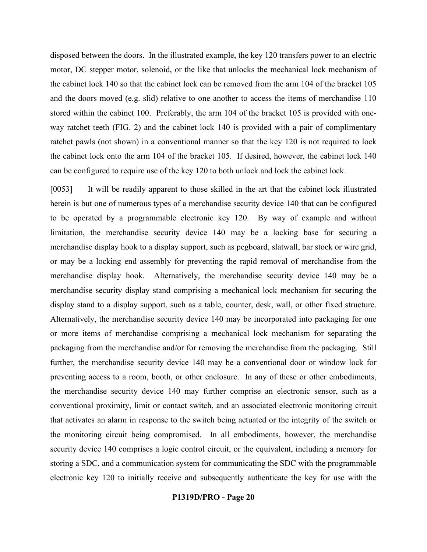disposed between the doors. In the illustrated example, the key 120 transfers power to an electric motor, DC stepper motor, solenoid, or the like that unlocks the mechanical lock mechanism of the cabinet lock 140 so that the cabinet lock can be removed from the arm 104 of the bracket 105 and the doors moved (e.g. slid) relative to one another to access the items of merchandise 110 stored within the cabinet 100. Preferably, the arm 104 of the bracket 105 is provided with oneway ratchet teeth (FIG. 2) and the cabinet lock 140 is provided with a pair of complimentary ratchet pawls (not shown) in a conventional manner so that the key 120 is not required to lock the cabinet lock onto the arm 104 of the bracket 105. If desired, however, the cabinet lock 140 can be configured to require use of the key 120 to both unlock and lock the cabinet lock.

[0053] It will be readily apparent to those skilled in the art that the cabinet lock illustrated herein is but one of numerous types of a merchandise security device 140 that can be configured to be operated by a programmable electronic key 120. By way of example and without limitation, the merchandise security device 140 may be a locking base for securing a merchandise display hook to a display support, such as pegboard, slatwall, bar stock or wire grid, or may be a locking end assembly for preventing the rapid removal of merchandise from the merchandise display hook. Alternatively, the merchandise security device 140 may be a merchandise security display stand comprising a mechanical lock mechanism for securing the display stand to a display support, such as a table, counter, desk, wall, or other fixed structure. Alternatively, the merchandise security device 140 may be incorporated into packaging for one or more items of merchandise comprising a mechanical lock mechanism for separating the packaging from the merchandise and/or for removing the merchandise from the packaging. Still further, the merchandise security device 140 may be a conventional door or window lock for preventing access to a room, booth, or other enclosure. In any of these or other embodiments, the merchandise security device 140 may further comprise an electronic sensor, such as a conventional proximity, limit or contact switch, and an associated electronic monitoring circuit that activates an alarm in response to the switch being actuated or the integrity of the switch or the monitoring circuit being compromised. In all embodiments, however, the merchandise security device 140 comprises a logic control circuit, or the equivalent, including a memory for storing a SDC, and a communication system for communicating the SDC with the programmable electronic key 120 to initially receive and subsequently authenticate the key for use with the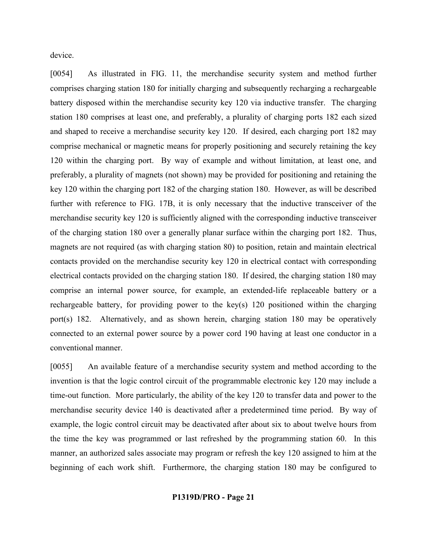device.

[0054] As illustrated in FIG. 11, the merchandise security system and method further comprises charging station 180 for initially charging and subsequently recharging a rechargeable battery disposed within the merchandise security key 120 via inductive transfer. The charging station 180 comprises at least one, and preferably, a plurality of charging ports 182 each sized and shaped to receive a merchandise security key 120. If desired, each charging port 182 may comprise mechanical or magnetic means for properly positioning and securely retaining the key 120 within the charging port. By way of example and without limitation, at least one, and preferably, a plurality of magnets (not shown) may be provided for positioning and retaining the key 120 within the charging port 182 of the charging station 180. However, as will be described further with reference to FIG. 17B, it is only necessary that the inductive transceiver of the merchandise security key 120 is sufficiently aligned with the corresponding inductive transceiver of the charging station 180 over a generally planar surface within the charging port 182. Thus, magnets are not required (as with charging station 80) to position, retain and maintain electrical contacts provided on the merchandise security key 120 in electrical contact with corresponding electrical contacts provided on the charging station 180. If desired, the charging station 180 may comprise an internal power source, for example, an extended-life replaceable battery or a rechargeable battery, for providing power to the key(s) 120 positioned within the charging port(s) 182. Alternatively, and as shown herein, charging station 180 may be operatively connected to an external power source by a power cord 190 having at least one conductor in a conventional manner.

[0055] An available feature of a merchandise security system and method according to the invention is that the logic control circuit of the programmable electronic key 120 may include a time-out function. More particularly, the ability of the key 120 to transfer data and power to the merchandise security device 140 is deactivated after a predetermined time period. By way of example, the logic control circuit may be deactivated after about six to about twelve hours from the time the key was programmed or last refreshed by the programming station 60. In this manner, an authorized sales associate may program or refresh the key 120 assigned to him at the beginning of each work shift. Furthermore, the charging station 180 may be configured to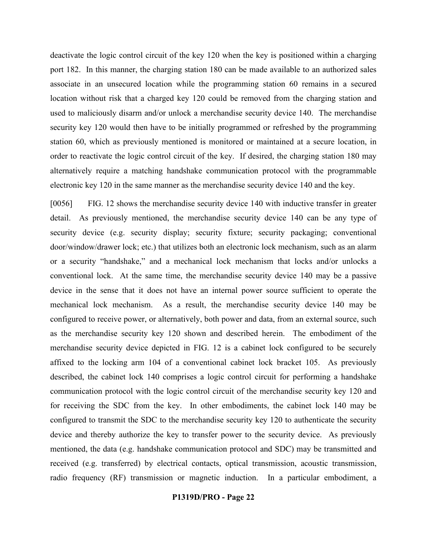deactivate the logic control circuit of the key 120 when the key is positioned within a charging port 182. In this manner, the charging station 180 can be made available to an authorized sales associate in an unsecured location while the programming station 60 remains in a secured location without risk that a charged key 120 could be removed from the charging station and used to maliciously disarm and/or unlock a merchandise security device 140. The merchandise security key 120 would then have to be initially programmed or refreshed by the programming station 60, which as previously mentioned is monitored or maintained at a secure location, in order to reactivate the logic control circuit of the key. If desired, the charging station 180 may alternatively require a matching handshake communication protocol with the programmable electronic key 120 in the same manner as the merchandise security device 140 and the key.

[0056] FIG. 12 shows the merchandise security device 140 with inductive transfer in greater detail. As previously mentioned, the merchandise security device 140 can be any type of security device (e.g. security display; security fixture; security packaging; conventional door/window/drawer lock; etc.) that utilizes both an electronic lock mechanism, such as an alarm or a security "handshake," and a mechanical lock mechanism that locks and/or unlocks a conventional lock. At the same time, the merchandise security device 140 may be a passive device in the sense that it does not have an internal power source sufficient to operate the mechanical lock mechanism. As a result, the merchandise security device 140 may be configured to receive power, or alternatively, both power and data, from an external source, such as the merchandise security key 120 shown and described herein. The embodiment of the merchandise security device depicted in FIG. 12 is a cabinet lock configured to be securely affixed to the locking arm 104 of a conventional cabinet lock bracket 105. As previously described, the cabinet lock 140 comprises a logic control circuit for performing a handshake communication protocol with the logic control circuit of the merchandise security key 120 and for receiving the SDC from the key. In other embodiments, the cabinet lock 140 may be configured to transmit the SDC to the merchandise security key 120 to authenticate the security device and thereby authorize the key to transfer power to the security device. As previously mentioned, the data (e.g. handshake communication protocol and SDC) may be transmitted and received (e.g. transferred) by electrical contacts, optical transmission, acoustic transmission, radio frequency (RF) transmission or magnetic induction. In a particular embodiment, a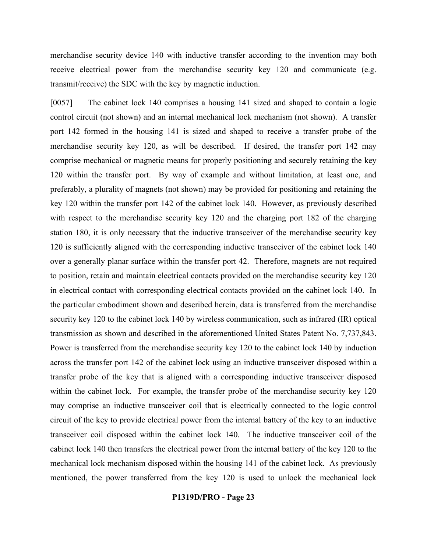merchandise security device 140 with inductive transfer according to the invention may both receive electrical power from the merchandise security key 120 and communicate (e.g. transmit/receive) the SDC with the key by magnetic induction.

[0057] The cabinet lock 140 comprises a housing 141 sized and shaped to contain a logic control circuit (not shown) and an internal mechanical lock mechanism (not shown). A transfer port 142 formed in the housing 141 is sized and shaped to receive a transfer probe of the merchandise security key 120, as will be described. If desired, the transfer port 142 may comprise mechanical or magnetic means for properly positioning and securely retaining the key 120 within the transfer port. By way of example and without limitation, at least one, and preferably, a plurality of magnets (not shown) may be provided for positioning and retaining the key 120 within the transfer port 142 of the cabinet lock 140. However, as previously described with respect to the merchandise security key 120 and the charging port 182 of the charging station 180, it is only necessary that the inductive transceiver of the merchandise security key 120 is sufficiently aligned with the corresponding inductive transceiver of the cabinet lock 140 over a generally planar surface within the transfer port 42. Therefore, magnets are not required to position, retain and maintain electrical contacts provided on the merchandise security key 120 in electrical contact with corresponding electrical contacts provided on the cabinet lock 140. In the particular embodiment shown and described herein, data is transferred from the merchandise security key 120 to the cabinet lock 140 by wireless communication, such as infrared (IR) optical transmission as shown and described in the aforementioned United States Patent No. 7,737,843. Power is transferred from the merchandise security key 120 to the cabinet lock 140 by induction across the transfer port 142 of the cabinet lock using an inductive transceiver disposed within a transfer probe of the key that is aligned with a corresponding inductive transceiver disposed within the cabinet lock. For example, the transfer probe of the merchandise security key 120 may comprise an inductive transceiver coil that is electrically connected to the logic control circuit of the key to provide electrical power from the internal battery of the key to an inductive transceiver coil disposed within the cabinet lock 140. The inductive transceiver coil of the cabinet lock 140 then transfers the electrical power from the internal battery of the key 120 to the mechanical lock mechanism disposed within the housing 141 of the cabinet lock. As previously mentioned, the power transferred from the key 120 is used to unlock the mechanical lock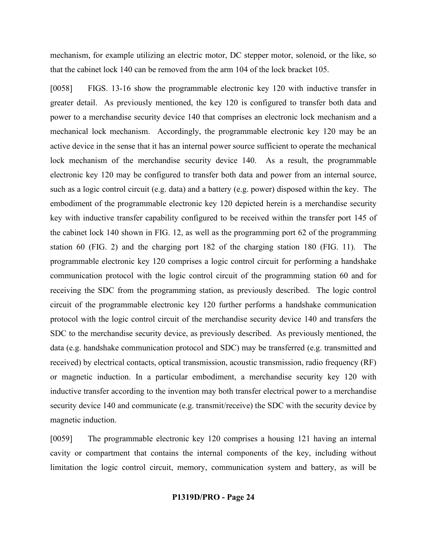mechanism, for example utilizing an electric motor, DC stepper motor, solenoid, or the like, so that the cabinet lock 140 can be removed from the arm 104 of the lock bracket 105.

[0058] FIGS. 13-16 show the programmable electronic key 120 with inductive transfer in greater detail. As previously mentioned, the key 120 is configured to transfer both data and power to a merchandise security device 140 that comprises an electronic lock mechanism and a mechanical lock mechanism. Accordingly, the programmable electronic key 120 may be an active device in the sense that it has an internal power source sufficient to operate the mechanical lock mechanism of the merchandise security device 140. As a result, the programmable electronic key 120 may be configured to transfer both data and power from an internal source, such as a logic control circuit (e.g. data) and a battery (e.g. power) disposed within the key. The embodiment of the programmable electronic key 120 depicted herein is a merchandise security key with inductive transfer capability configured to be received within the transfer port 145 of the cabinet lock 140 shown in FIG. 12, as well as the programming port 62 of the programming station 60 (FIG. 2) and the charging port 182 of the charging station 180 (FIG. 11). The programmable electronic key 120 comprises a logic control circuit for performing a handshake communication protocol with the logic control circuit of the programming station 60 and for receiving the SDC from the programming station, as previously described. The logic control circuit of the programmable electronic key 120 further performs a handshake communication protocol with the logic control circuit of the merchandise security device 140 and transfers the SDC to the merchandise security device, as previously described. As previously mentioned, the data (e.g. handshake communication protocol and SDC) may be transferred (e.g. transmitted and received) by electrical contacts, optical transmission, acoustic transmission, radio frequency (RF) or magnetic induction. In a particular embodiment, a merchandise security key 120 with inductive transfer according to the invention may both transfer electrical power to a merchandise security device 140 and communicate (e.g. transmit/receive) the SDC with the security device by magnetic induction.

[0059] The programmable electronic key 120 comprises a housing 121 having an internal cavity or compartment that contains the internal components of the key, including without limitation the logic control circuit, memory, communication system and battery, as will be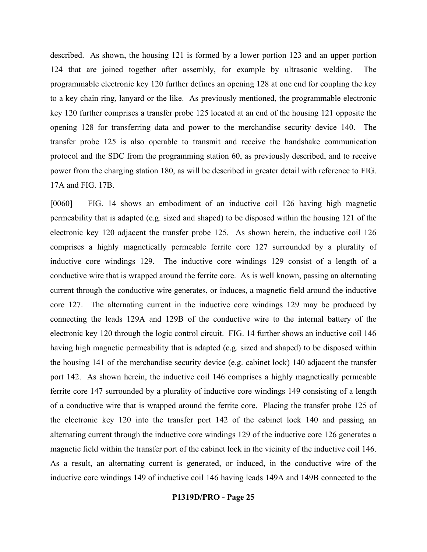described. As shown, the housing 121 is formed by a lower portion 123 and an upper portion 124 that are joined together after assembly, for example by ultrasonic welding. The programmable electronic key 120 further defines an opening 128 at one end for coupling the key to a key chain ring, lanyard or the like. As previously mentioned, the programmable electronic key 120 further comprises a transfer probe 125 located at an end of the housing 121 opposite the opening 128 for transferring data and power to the merchandise security device 140. The transfer probe 125 is also operable to transmit and receive the handshake communication protocol and the SDC from the programming station 60, as previously described, and to receive power from the charging station 180, as will be described in greater detail with reference to FIG. 17A and FIG. 17B.

[0060] FIG. 14 shows an embodiment of an inductive coil 126 having high magnetic permeability that is adapted (e.g. sized and shaped) to be disposed within the housing 121 of the electronic key 120 adjacent the transfer probe 125. As shown herein, the inductive coil 126 comprises a highly magnetically permeable ferrite core 127 surrounded by a plurality of inductive core windings 129. The inductive core windings 129 consist of a length of a conductive wire that is wrapped around the ferrite core. As is well known, passing an alternating current through the conductive wire generates, or induces, a magnetic field around the inductive core 127. The alternating current in the inductive core windings 129 may be produced by connecting the leads 129A and 129B of the conductive wire to the internal battery of the electronic key 120 through the logic control circuit. FIG. 14 further shows an inductive coil 146 having high magnetic permeability that is adapted (e.g. sized and shaped) to be disposed within the housing 141 of the merchandise security device (e.g. cabinet lock) 140 adjacent the transfer port 142. As shown herein, the inductive coil 146 comprises a highly magnetically permeable ferrite core 147 surrounded by a plurality of inductive core windings 149 consisting of a length of a conductive wire that is wrapped around the ferrite core. Placing the transfer probe 125 of the electronic key 120 into the transfer port 142 of the cabinet lock 140 and passing an alternating current through the inductive core windings 129 of the inductive core 126 generates a magnetic field within the transfer port of the cabinet lock in the vicinity of the inductive coil 146. As a result, an alternating current is generated, or induced, in the conductive wire of the inductive core windings 149 of inductive coil 146 having leads 149A and 149B connected to the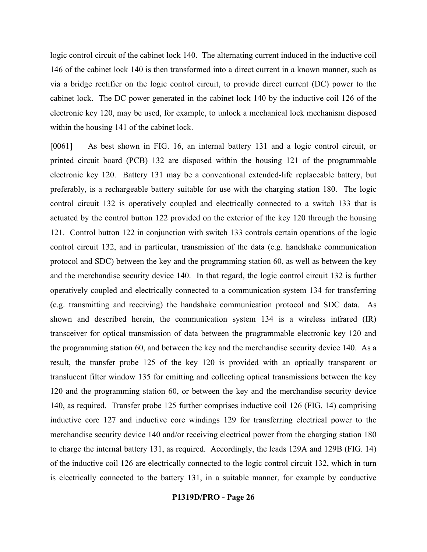logic control circuit of the cabinet lock 140. The alternating current induced in the inductive coil 146 of the cabinet lock 140 is then transformed into a direct current in a known manner, such as via a bridge rectifier on the logic control circuit, to provide direct current (DC) power to the cabinet lock. The DC power generated in the cabinet lock 140 by the inductive coil 126 of the electronic key 120, may be used, for example, to unlock a mechanical lock mechanism disposed within the housing 141 of the cabinet lock.

[0061] As best shown in FIG. 16, an internal battery 131 and a logic control circuit, or printed circuit board (PCB) 132 are disposed within the housing 121 of the programmable electronic key 120. Battery 131 may be a conventional extended-life replaceable battery, but preferably, is a rechargeable battery suitable for use with the charging station 180. The logic control circuit 132 is operatively coupled and electrically connected to a switch 133 that is actuated by the control button 122 provided on the exterior of the key 120 through the housing 121. Control button 122 in conjunction with switch 133 controls certain operations of the logic control circuit 132, and in particular, transmission of the data (e.g. handshake communication protocol and SDC) between the key and the programming station 60, as well as between the key and the merchandise security device 140. In that regard, the logic control circuit 132 is further operatively coupled and electrically connected to a communication system 134 for transferring (e.g. transmitting and receiving) the handshake communication protocol and SDC data. As shown and described herein, the communication system 134 is a wireless infrared (IR) transceiver for optical transmission of data between the programmable electronic key 120 and the programming station 60, and between the key and the merchandise security device 140. As a result, the transfer probe 125 of the key 120 is provided with an optically transparent or translucent filter window 135 for emitting and collecting optical transmissions between the key 120 and the programming station 60, or between the key and the merchandise security device 140, as required. Transfer probe 125 further comprises inductive coil 126 (FIG. 14) comprising inductive core 127 and inductive core windings 129 for transferring electrical power to the merchandise security device 140 and/or receiving electrical power from the charging station 180 to charge the internal battery 131, as required. Accordingly, the leads 129A and 129B (FIG. 14) of the inductive coil 126 are electrically connected to the logic control circuit 132, which in turn is electrically connected to the battery 131, in a suitable manner, for example by conductive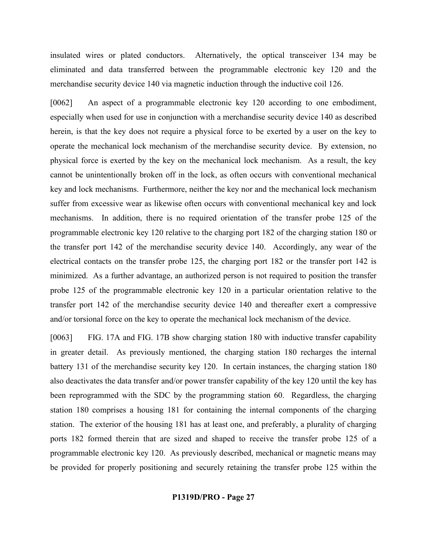insulated wires or plated conductors. Alternatively, the optical transceiver 134 may be eliminated and data transferred between the programmable electronic key 120 and the merchandise security device 140 via magnetic induction through the inductive coil 126.

[0062] An aspect of a programmable electronic key 120 according to one embodiment, especially when used for use in conjunction with a merchandise security device 140 as described herein, is that the key does not require a physical force to be exerted by a user on the key to operate the mechanical lock mechanism of the merchandise security device. By extension, no physical force is exerted by the key on the mechanical lock mechanism. As a result, the key cannot be unintentionally broken off in the lock, as often occurs with conventional mechanical key and lock mechanisms. Furthermore, neither the key nor and the mechanical lock mechanism suffer from excessive wear as likewise often occurs with conventional mechanical key and lock mechanisms. In addition, there is no required orientation of the transfer probe 125 of the programmable electronic key 120 relative to the charging port 182 of the charging station 180 or the transfer port 142 of the merchandise security device 140. Accordingly, any wear of the electrical contacts on the transfer probe 125, the charging port 182 or the transfer port 142 is minimized. As a further advantage, an authorized person is not required to position the transfer probe 125 of the programmable electronic key 120 in a particular orientation relative to the transfer port 142 of the merchandise security device 140 and thereafter exert a compressive and/or torsional force on the key to operate the mechanical lock mechanism of the device.

[0063] FIG. 17A and FIG. 17B show charging station 180 with inductive transfer capability in greater detail. As previously mentioned, the charging station 180 recharges the internal battery 131 of the merchandise security key 120. In certain instances, the charging station 180 also deactivates the data transfer and/or power transfer capability of the key 120 until the key has been reprogrammed with the SDC by the programming station 60. Regardless, the charging station 180 comprises a housing 181 for containing the internal components of the charging station. The exterior of the housing 181 has at least one, and preferably, a plurality of charging ports 182 formed therein that are sized and shaped to receive the transfer probe 125 of a programmable electronic key 120. As previously described, mechanical or magnetic means may be provided for properly positioning and securely retaining the transfer probe 125 within the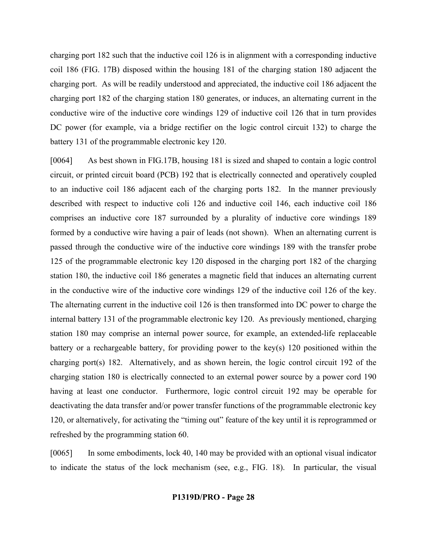charging port 182 such that the inductive coil 126 is in alignment with a corresponding inductive coil 186 (FIG. 17B) disposed within the housing 181 of the charging station 180 adjacent the charging port. As will be readily understood and appreciated, the inductive coil 186 adjacent the charging port 182 of the charging station 180 generates, or induces, an alternating current in the conductive wire of the inductive core windings 129 of inductive coil 126 that in turn provides DC power (for example, via a bridge rectifier on the logic control circuit 132) to charge the battery 131 of the programmable electronic key 120.

[0064] As best shown in FIG.17B, housing 181 is sized and shaped to contain a logic control circuit, or printed circuit board (PCB) 192 that is electrically connected and operatively coupled to an inductive coil 186 adjacent each of the charging ports 182. In the manner previously described with respect to inductive coli 126 and inductive coil 146, each inductive coil 186 comprises an inductive core 187 surrounded by a plurality of inductive core windings 189 formed by a conductive wire having a pair of leads (not shown). When an alternating current is passed through the conductive wire of the inductive core windings 189 with the transfer probe 125 of the programmable electronic key 120 disposed in the charging port 182 of the charging station 180, the inductive coil 186 generates a magnetic field that induces an alternating current in the conductive wire of the inductive core windings 129 of the inductive coil 126 of the key. The alternating current in the inductive coil 126 is then transformed into DC power to charge the internal battery 131 of the programmable electronic key 120. As previously mentioned, charging station 180 may comprise an internal power source, for example, an extended-life replaceable battery or a rechargeable battery, for providing power to the key(s) 120 positioned within the charging port(s) 182. Alternatively, and as shown herein, the logic control circuit 192 of the charging station 180 is electrically connected to an external power source by a power cord 190 having at least one conductor. Furthermore, logic control circuit 192 may be operable for deactivating the data transfer and/or power transfer functions of the programmable electronic key 120, or alternatively, for activating the "timing out" feature of the key until it is reprogrammed or refreshed by the programming station 60.

[0065] In some embodiments, lock 40, 140 may be provided with an optional visual indicator to indicate the status of the lock mechanism (see, e.g., FIG. 18). In particular, the visual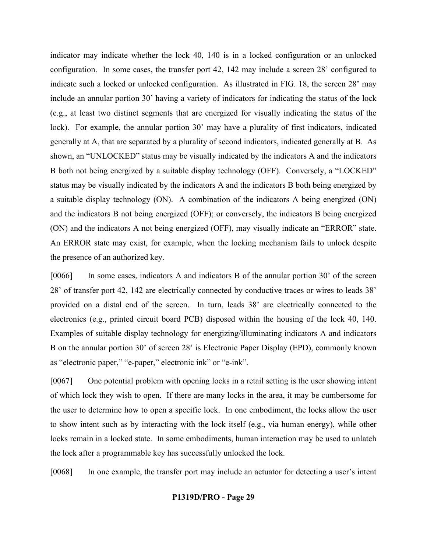indicator may indicate whether the lock 40, 140 is in a locked configuration or an unlocked configuration. In some cases, the transfer port 42, 142 may include a screen 28' configured to indicate such a locked or unlocked configuration. As illustrated in FIG. 18, the screen 28' may include an annular portion 30' having a variety of indicators for indicating the status of the lock (e.g., at least two distinct segments that are energized for visually indicating the status of the lock). For example, the annular portion 30' may have a plurality of first indicators, indicated generally at A, that are separated by a plurality of second indicators, indicated generally at B. As shown, an "UNLOCKED" status may be visually indicated by the indicators A and the indicators B both not being energized by a suitable display technology (OFF). Conversely, a "LOCKED" status may be visually indicated by the indicators A and the indicators B both being energized by a suitable display technology (ON). A combination of the indicators A being energized (ON) and the indicators B not being energized (OFF); or conversely, the indicators B being energized (ON) and the indicators A not being energized (OFF), may visually indicate an "ERROR" state. An ERROR state may exist, for example, when the locking mechanism fails to unlock despite the presence of an authorized key.

[0066] In some cases, indicators A and indicators B of the annular portion 30' of the screen 28' of transfer port 42, 142 are electrically connected by conductive traces or wires to leads 38' provided on a distal end of the screen. In turn, leads 38' are electrically connected to the electronics (e.g., printed circuit board PCB) disposed within the housing of the lock 40, 140. Examples of suitable display technology for energizing/illuminating indicators A and indicators B on the annular portion 30' of screen 28' is Electronic Paper Display (EPD), commonly known as "electronic paper," "e-paper," electronic ink" or "e-ink".

[0067] One potential problem with opening locks in a retail setting is the user showing intent of which lock they wish to open. If there are many locks in the area, it may be cumbersome for the user to determine how to open a specific lock. In one embodiment, the locks allow the user to show intent such as by interacting with the lock itself (e.g., via human energy), while other locks remain in a locked state. In some embodiments, human interaction may be used to unlatch the lock after a programmable key has successfully unlocked the lock.

[0068] In one example, the transfer port may include an actuator for detecting a user's intent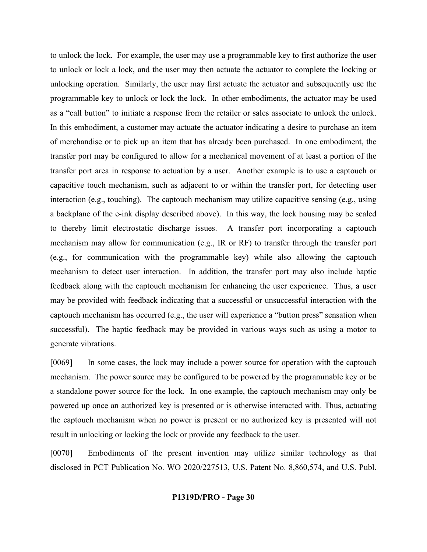to unlock the lock. For example, the user may use a programmable key to first authorize the user to unlock or lock a lock, and the user may then actuate the actuator to complete the locking or unlocking operation. Similarly, the user may first actuate the actuator and subsequently use the programmable key to unlock or lock the lock. In other embodiments, the actuator may be used as a "call button" to initiate a response from the retailer or sales associate to unlock the unlock. In this embodiment, a customer may actuate the actuator indicating a desire to purchase an item of merchandise or to pick up an item that has already been purchased. In one embodiment, the transfer port may be configured to allow for a mechanical movement of at least a portion of the transfer port area in response to actuation by a user. Another example is to use a captouch or capacitive touch mechanism, such as adjacent to or within the transfer port, for detecting user interaction (e.g., touching). The captouch mechanism may utilize capacitive sensing (e.g., using a backplane of the e-ink display described above). In this way, the lock housing may be sealed to thereby limit electrostatic discharge issues. A transfer port incorporating a captouch mechanism may allow for communication (e.g., IR or RF) to transfer through the transfer port (e.g., for communication with the programmable key) while also allowing the captouch mechanism to detect user interaction. In addition, the transfer port may also include haptic feedback along with the captouch mechanism for enhancing the user experience. Thus, a user may be provided with feedback indicating that a successful or unsuccessful interaction with the captouch mechanism has occurred (e.g., the user will experience a "button press" sensation when successful). The haptic feedback may be provided in various ways such as using a motor to generate vibrations.

[0069] In some cases, the lock may include a power source for operation with the captouch mechanism. The power source may be configured to be powered by the programmable key or be a standalone power source for the lock. In one example, the captouch mechanism may only be powered up once an authorized key is presented or is otherwise interacted with. Thus, actuating the captouch mechanism when no power is present or no authorized key is presented will not result in unlocking or locking the lock or provide any feedback to the user.

[0070] Embodiments of the present invention may utilize similar technology as that disclosed in PCT Publication No. WO 2020/227513, U.S. Patent No. 8,860,574, and U.S. Publ.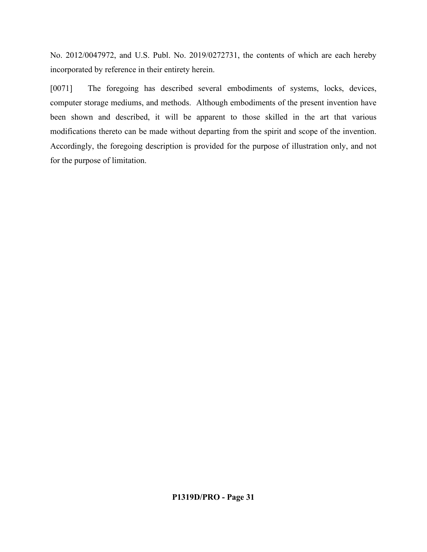No. 2012/0047972, and U.S. Publ. No. 2019/0272731, the contents of which are each hereby incorporated by reference in their entirety herein.

[0071] The foregoing has described several embodiments of systems, locks, devices, computer storage mediums, and methods. Although embodiments of the present invention have been shown and described, it will be apparent to those skilled in the art that various modifications thereto can be made without departing from the spirit and scope of the invention. Accordingly, the foregoing description is provided for the purpose of illustration only, and not for the purpose of limitation.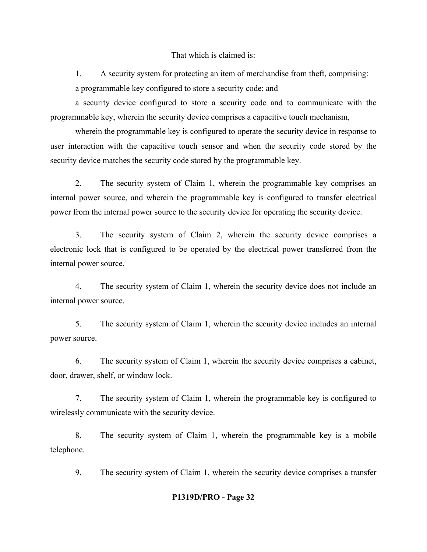That which is claimed is:

1. A security system for protecting an item of merchandise from theft, comprising: a programmable key configured to store a security code; and

a security device configured to store a security code and to communicate with the programmable key, wherein the security device comprises a capacitive touch mechanism,

wherein the programmable key is configured to operate the security device in response to user interaction with the capacitive touch sensor and when the security code stored by the security device matches the security code stored by the programmable key.

2. The security system of Claim 1, wherein the programmable key comprises an internal power source, and wherein the programmable key is configured to transfer electrical power from the internal power source to the security device for operating the security device.

3. The security system of Claim 2, wherein the security device comprises a electronic lock that is configured to be operated by the electrical power transferred from the internal power source.

4. The security system of Claim 1, wherein the security device does not include an internal power source.

5. The security system of Claim 1, wherein the security device includes an internal power source.

6. The security system of Claim 1, wherein the security device comprises a cabinet, door, drawer, shelf, or window lock.

7. The security system of Claim 1, wherein the programmable key is configured to wirelessly communicate with the security device.

8. The security system of Claim 1, wherein the programmable key is a mobile telephone.

9. The security system of Claim 1, wherein the security device comprises a transfer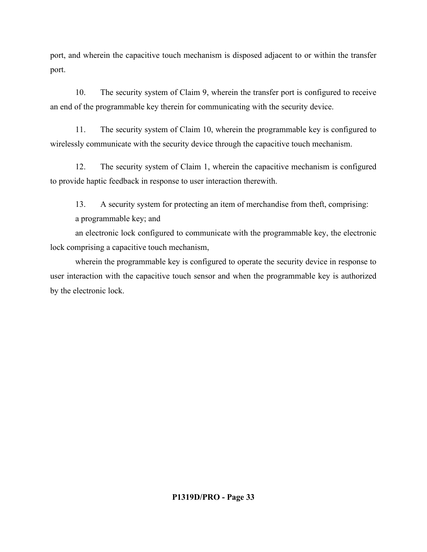port, and wherein the capacitive touch mechanism is disposed adjacent to or within the transfer port.

10. The security system of Claim 9, wherein the transfer port is configured to receive an end of the programmable key therein for communicating with the security device.

11. The security system of Claim 10, wherein the programmable key is configured to wirelessly communicate with the security device through the capacitive touch mechanism.

12. The security system of Claim 1, wherein the capacitive mechanism is configured to provide haptic feedback in response to user interaction therewith.

13. A security system for protecting an item of merchandise from theft, comprising: a programmable key; and

an electronic lock configured to communicate with the programmable key, the electronic lock comprising a capacitive touch mechanism,

wherein the programmable key is configured to operate the security device in response to user interaction with the capacitive touch sensor and when the programmable key is authorized by the electronic lock.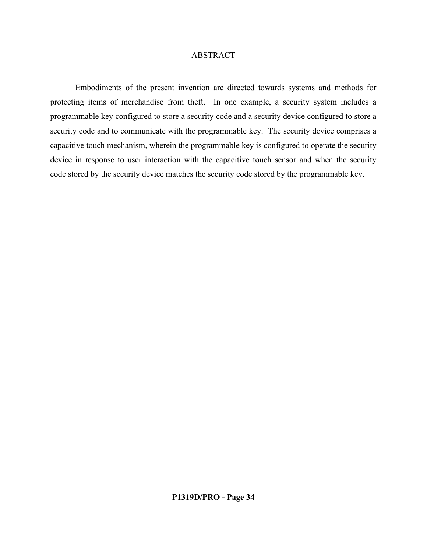# ABSTRACT

Embodiments of the present invention are directed towards systems and methods for protecting items of merchandise from theft. In one example, a security system includes a programmable key configured to store a security code and a security device configured to store a security code and to communicate with the programmable key. The security device comprises a capacitive touch mechanism, wherein the programmable key is configured to operate the security device in response to user interaction with the capacitive touch sensor and when the security code stored by the security device matches the security code stored by the programmable key.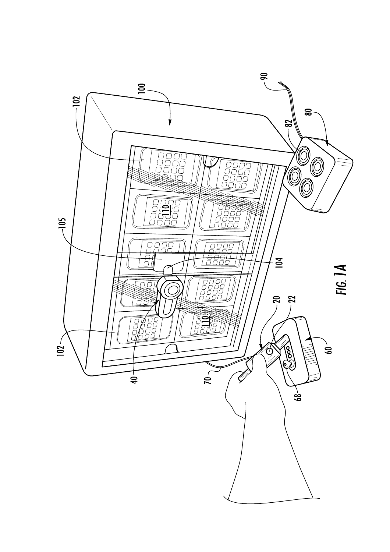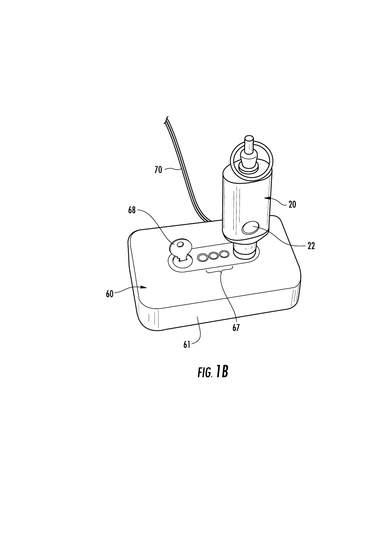

 $FIG. 1B$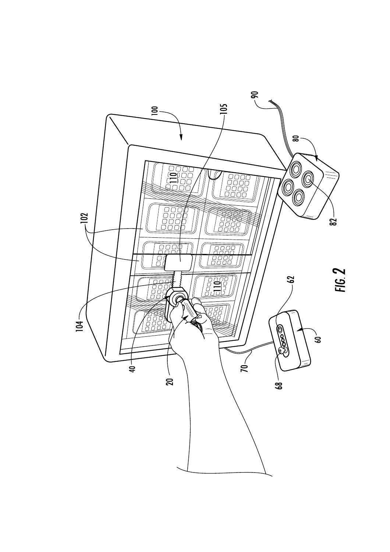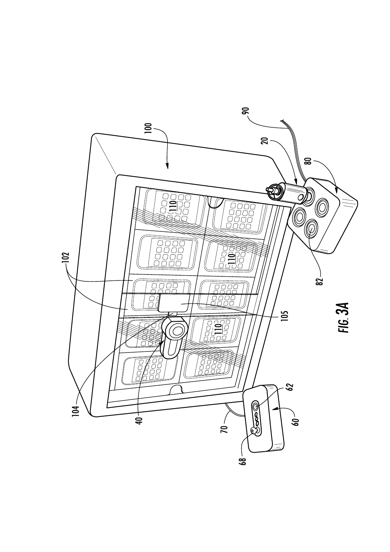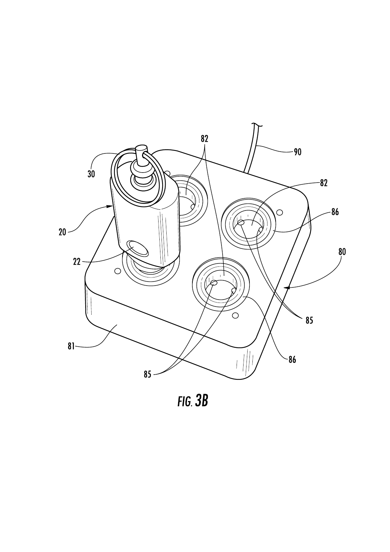

 $FIG. 3B$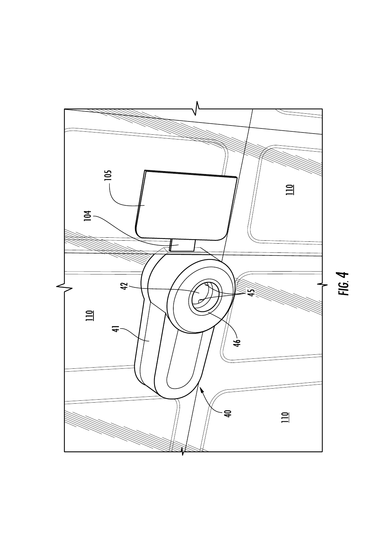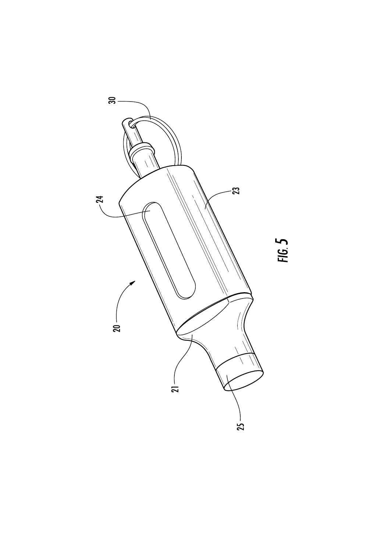

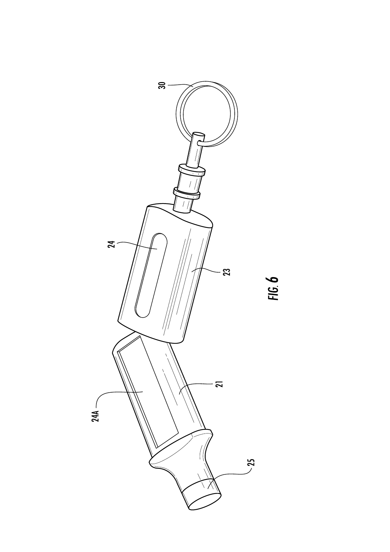

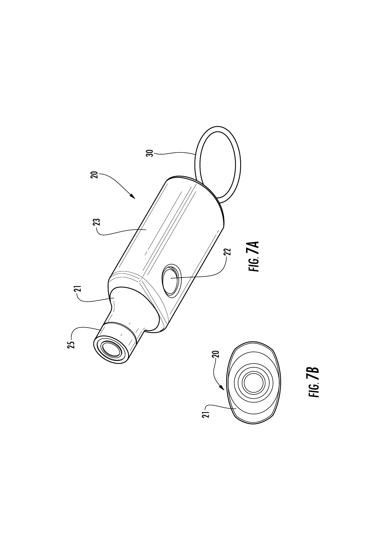

FIG. 7B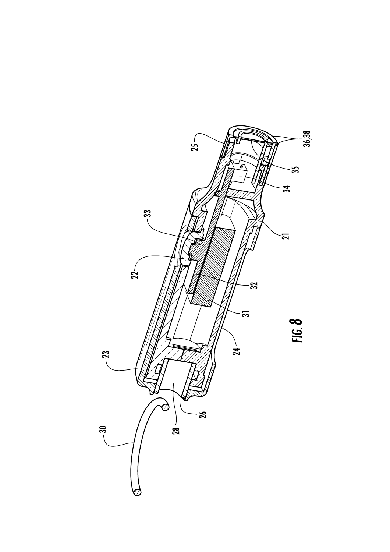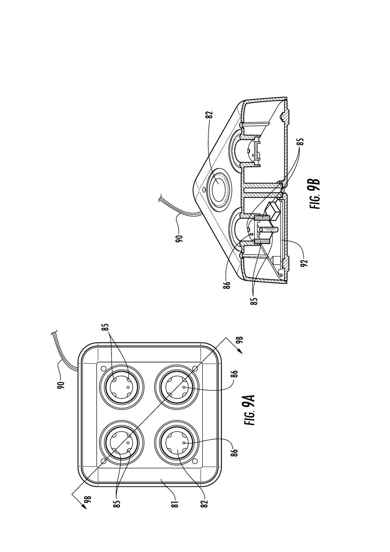

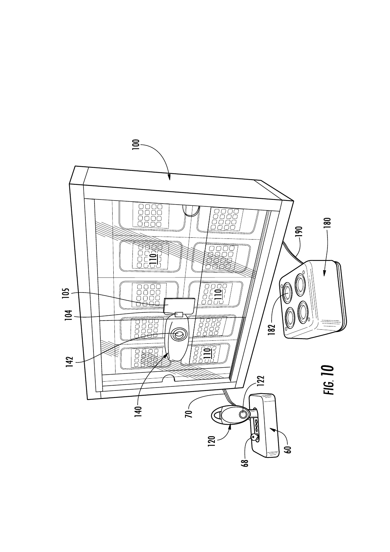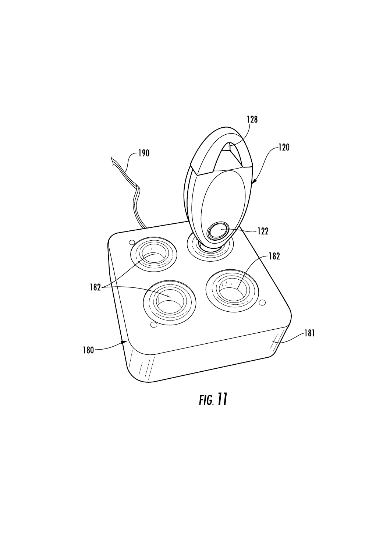

**FIG.** 11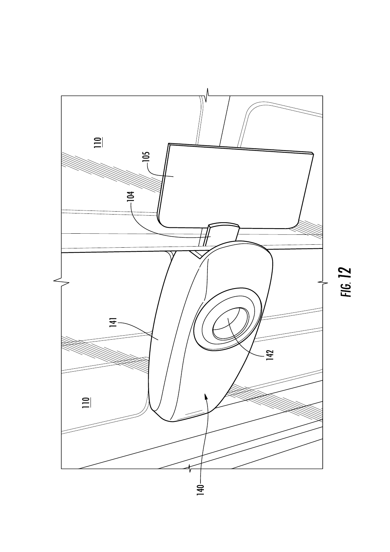

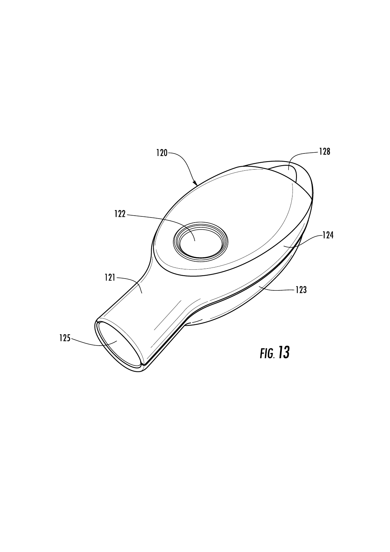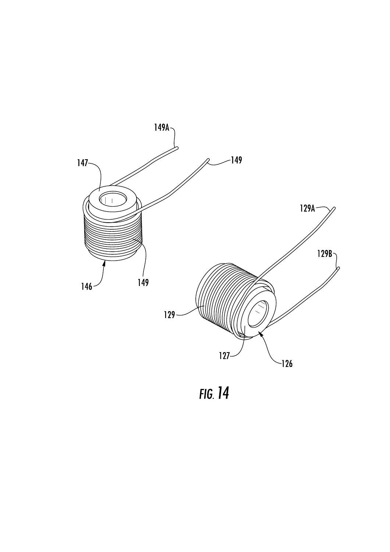

FIG. 14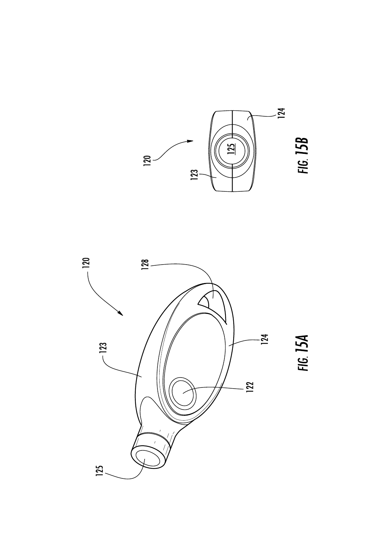



FIG. 15A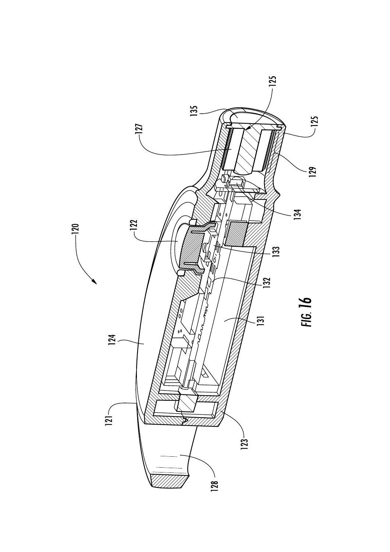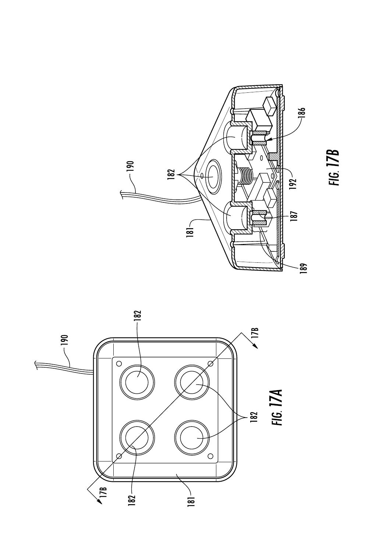



FIG. 17B